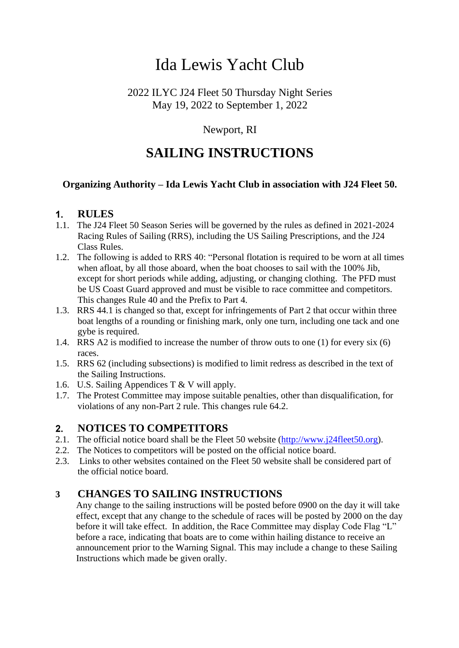# Ida Lewis Yacht Club

### 2022 ILYC J24 Fleet 50 Thursday Night Series May 19, 2022 to September 1, 2022

# Newport, RI

# **SAILING INSTRUCTIONS**

### **Organizing Authority – Ida Lewis Yacht Club in association with J24 Fleet 50.**

#### $1.$ **RULES**

- 1.1. The J24 Fleet 50 Season Series will be governed by the rules as defined in 2021-2024 Racing Rules of Sailing (RRS), including the US Sailing Prescriptions, and the J24 Class Rules.
- 1.2. The following is added to RRS 40: "Personal flotation is required to be worn at all times when afloat, by all those aboard, when the boat chooses to sail with the 100% Jib, except for short periods while adding, adjusting, or changing clothing. The PFD must be US Coast Guard approved and must be visible to race committee and competitors. This changes Rule 40 and the Prefix to Part 4.
- 1.3. RRS 44.1 is changed so that, except for infringements of Part 2 that occur within three boat lengths of a rounding or finishing mark, only one turn, including one tack and one gybe is required.
- 1.4. RRS A2 is modified to increase the number of throw outs to one (1) for every six (6) races.
- 1.5. RRS 62 (including subsections) is modified to limit redress as described in the text of the Sailing Instructions.
- 1.6. U.S. Sailing Appendices T & V will apply.
- 1.7. The Protest Committee may impose suitable penalties, other than disqualification, for violations of any non-Part 2 rule. This changes rule 64.2.

#### $2.$ **NOTICES TO COMPETITORS**

- 2.1. The official notice board shall be the Fleet 50 website [\(http://www.j24fleet50.org\)](http://www.j24fleet50.org/).
- 2.2. The Notices to competitors will be posted on the official notice board.
- 2.3. Links to other websites contained on the Fleet 50 website shall be considered part of the official notice board.

# **3 CHANGES TO SAILING INSTRUCTIONS**

Any change to the sailing instructions will be posted before 0900 on the day it will take effect, except that any change to the schedule of races will be posted by 2000 on the day before it will take effect. In addition, the Race Committee may display Code Flag "L" before a race, indicating that boats are to come within hailing distance to receive an announcement prior to the Warning Signal. This may include a change to these Sailing Instructions which made be given orally.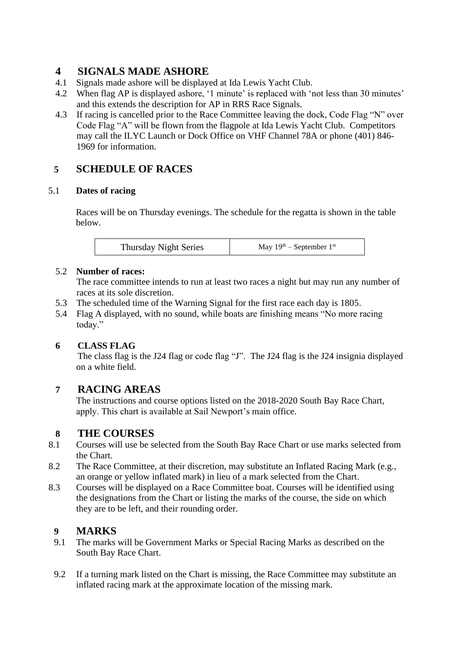### **4 SIGNALS MADE ASHORE**

- 4.1 Signals made ashore will be displayed at Ida Lewis Yacht Club.
- 4.2 When flag AP is displayed ashore, '1 minute' is replaced with 'not less than 30 minutes' and this extends the description for AP in RRS Race Signals.
- 4.3 If racing is cancelled prior to the Race Committee leaving the dock, Code Flag "N" over Code Flag "A" will be flown from the flagpole at Ida Lewis Yacht Club. Competitors may call the ILYC Launch or Dock Office on VHF Channel 78A or phone (401) 846- 1969 for information.

# **5 SCHEDULE OF RACES**

#### 5.1 **Dates of racing**

Races will be on Thursday evenings. The schedule for the regatta is shown in the table below.

| <b>Thursday Night Series</b> | May $19th$ – September $1st$ |
|------------------------------|------------------------------|
|------------------------------|------------------------------|

#### 5.2 **Number of races:**

The race committee intends to run at least two races a night but may run any number of races at its sole discretion.

- 5.3 The scheduled time of the Warning Signal for the first race each day is 1805.
- 5.4 Flag A displayed, with no sound, while boats are finishing means "No more racing today."

#### **6 CLASS FLAG**

The class flag is the J24 flag or code flag "J". The J24 flag is the J24 insignia displayed on a white field.

### **7 RACING AREAS**

The instructions and course options listed on the 2018-2020 South Bay Race Chart, apply. This chart is available at Sail Newport's main office.

#### **8 THE COURSES**

- 8.1 Courses will use be selected from the South Bay Race Chart or use marks selected from the Chart.
- 8.2 The Race Committee, at their discretion, may substitute an Inflated Racing Mark (e.g., an orange or yellow inflated mark) in lieu of a mark selected from the Chart.
- 8.3 Courses will be displayed on a Race Committee boat. Courses will be identified using the designations from the Chart or listing the marks of the course, the side on which they are to be left, and their rounding order.

### **9 MARKS**

- 9.1 The marks will be Government Marks or Special Racing Marks as described on the South Bay Race Chart.
- 9.2 If a turning mark listed on the Chart is missing, the Race Committee may substitute an inflated racing mark at the approximate location of the missing mark.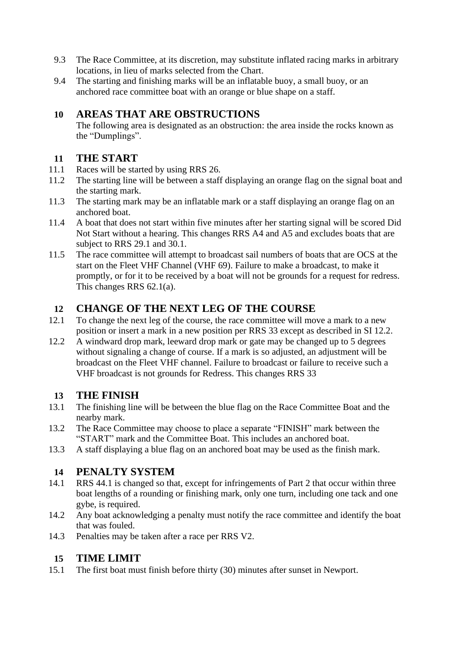- 9.3 The Race Committee, at its discretion, may substitute inflated racing marks in arbitrary locations, in lieu of marks selected from the Chart.
- 9.4 The starting and finishing marks will be an inflatable buoy, a small buoy, or an anchored race committee boat with an orange or blue shape on a staff.

# **10 AREAS THAT ARE OBSTRUCTIONS**

The following area is designated as an obstruction: the area inside the rocks known as the "Dumplings".

# **11 THE START**

- 11.1 Races will be started by using RRS 26.
- 11.2 The starting line will be between a staff displaying an orange flag on the signal boat and the starting mark.
- 11.3 The starting mark may be an inflatable mark or a staff displaying an orange flag on an anchored boat.
- 11.4 A boat that does not start within five minutes after her starting signal will be scored Did Not Start without a hearing. This changes RRS A4 and A5 and excludes boats that are subject to RRS 29.1 and 30.1.
- 11.5 The race committee will attempt to broadcast sail numbers of boats that are OCS at the start on the Fleet VHF Channel (VHF 69). Failure to make a broadcast, to make it promptly, or for it to be received by a boat will not be grounds for a request for redress. This changes RRS 62.1(a).

# **12 CHANGE OF THE NEXT LEG OF THE COURSE**

- 12.1 To change the next leg of the course, the race committee will move a mark to a new position or insert a mark in a new position per RRS 33 except as described in SI 12.2.
- 12.2 A windward drop mark, leeward drop mark or gate may be changed up to 5 degrees without signaling a change of course. If a mark is so adjusted, an adjustment will be broadcast on the Fleet VHF channel. Failure to broadcast or failure to receive such a VHF broadcast is not grounds for Redress. This changes RRS 33

### **13 THE FINISH**

- 13.1 The finishing line will be between the blue flag on the Race Committee Boat and the nearby mark.
- 13.2 The Race Committee may choose to place a separate "FINISH" mark between the "START" mark and the Committee Boat. This includes an anchored boat.
- 13.3 A staff displaying a blue flag on an anchored boat may be used as the finish mark.

### **14 PENALTY SYSTEM**

- 14.1 RRS 44.1 is changed so that, except for infringements of Part 2 that occur within three boat lengths of a rounding or finishing mark, only one turn, including one tack and one gybe, is required.
- 14.2 Any boat acknowledging a penalty must notify the race committee and identify the boat that was fouled.
- 14.3 Penalties may be taken after a race per RRS V2.

### **15 TIME LIMIT**

15.1 The first boat must finish before thirty (30) minutes after sunset in Newport.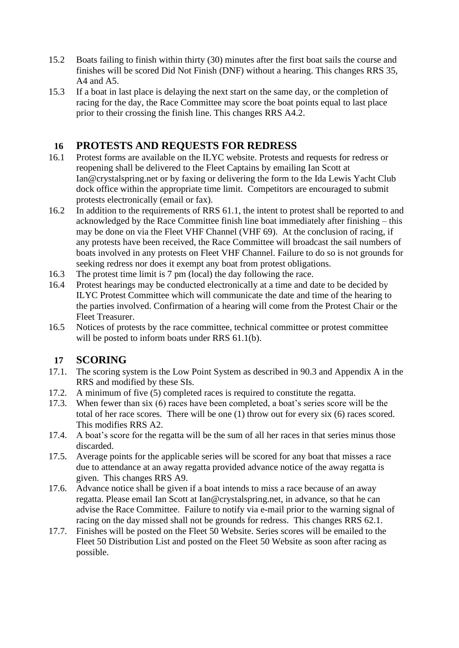- 15.2 Boats failing to finish within thirty (30) minutes after the first boat sails the course and finishes will be scored Did Not Finish (DNF) without a hearing. This changes RRS 35, A4 and A5.
- 15.3 If a boat in last place is delaying the next start on the same day, or the completion of racing for the day, the Race Committee may score the boat points equal to last place prior to their crossing the finish line. This changes RRS A4.2.

# **16 PROTESTS AND REQUESTS FOR REDRESS**

- 16.1 Protest forms are available on the ILYC website. Protests and requests for redress or reopening shall be delivered to the Fleet Captains by emailing Ian Scott at Ian@crystalspring.net or by faxing or delivering the form to the Ida Lewis Yacht Club dock office within the appropriate time limit. Competitors are encouraged to submit protests electronically (email or fax).
- 16.2 In addition to the requirements of RRS 61.1, the intent to protest shall be reported to and acknowledged by the Race Committee finish line boat immediately after finishing – this may be done on via the Fleet VHF Channel (VHF 69). At the conclusion of racing, if any protests have been received, the Race Committee will broadcast the sail numbers of boats involved in any protests on Fleet VHF Channel. Failure to do so is not grounds for seeking redress nor does it exempt any boat from protest obligations.
- 16.3 The protest time limit is 7 pm (local) the day following the race.
- 16.4 Protest hearings may be conducted electronically at a time and date to be decided by ILYC Protest Committee which will communicate the date and time of the hearing to the parties involved. Confirmation of a hearing will come from the Protest Chair or the Fleet Treasurer.
- 16.5 Notices of protests by the race committee, technical committee or protest committee will be posted to inform boats under RRS 61.1(b).

### **17 SCORING**

- 17.1. The scoring system is the Low Point System as described in 90.3 and Appendix A in the RRS and modified by these SIs.
- 17.2. A minimum of five (5) completed races is required to constitute the regatta.
- 17.3. When fewer than six (6) races have been completed, a boat's series score will be the total of her race scores. There will be one (1) throw out for every six (6) races scored. This modifies RRS A2.
- 17.4. A boat's score for the regatta will be the sum of all her races in that series minus those discarded.
- 17.5. Average points for the applicable series will be scored for any boat that misses a race due to attendance at an away regatta provided advance notice of the away regatta is given. This changes RRS A9.
- 17.6. Advance notice shall be given if a boat intends to miss a race because of an away regatta. Please email Ian Scott at Ian@crystalspring.net, in advance, so that he can advise the Race Committee. Failure to notify via e-mail prior to the warning signal of racing on the day missed shall not be grounds for redress. This changes RRS 62.1.
- 17.7. Finishes will be posted on the Fleet 50 Website. Series scores will be emailed to the Fleet 50 Distribution List and posted on the Fleet 50 Website as soon after racing as possible.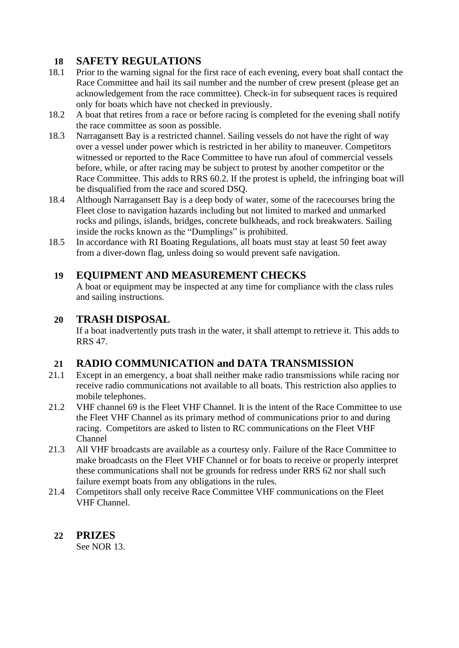# **18 SAFETY REGULATIONS**

- 18.1 Prior to the warning signal for the first race of each evening, every boat shall contact the Race Committee and hail its sail number and the number of crew present (please get an acknowledgement from the race committee). Check-in for subsequent races is required only for boats which have not checked in previously.
- 18.2 A boat that retires from a race or before racing is completed for the evening shall notify the race committee as soon as possible.
- 18.3 Narragansett Bay is a restricted channel. Sailing vessels do not have the right of way over a vessel under power which is restricted in her ability to maneuver. Competitors witnessed or reported to the Race Committee to have run afoul of commercial vessels before, while, or after racing may be subject to protest by another competitor or the Race Committee. This adds to RRS 60.2. If the protest is upheld, the infringing boat will be disqualified from the race and scored DSQ.
- 18.4 Although Narragansett Bay is a deep body of water, some of the racecourses bring the Fleet close to navigation hazards including but not limited to marked and unmarked rocks and pilings, islands, bridges, concrete bulkheads, and rock breakwaters. Sailing inside the rocks known as the "Dumplings" is prohibited.
- 18.5 In accordance with RI Boating Regulations, all boats must stay at least 50 feet away from a diver-down flag, unless doing so would prevent safe navigation.

#### **19 EQUIPMENT AND MEASUREMENT CHECKS**

A boat or equipment may be inspected at any time for compliance with the class rules and sailing instructions.

#### **20 TRASH DISPOSAL**

If a boat inadvertently puts trash in the water, it shall attempt to retrieve it. This adds to RRS 47.

### **21 RADIO COMMUNICATION and DATA TRANSMISSION**

- 21.1 Except in an emergency, a boat shall neither make radio transmissions while racing nor receive radio communications not available to all boats. This restriction also applies to mobile telephones.
- 21.2 VHF channel 69 is the Fleet VHF Channel. It is the intent of the Race Committee to use the Fleet VHF Channel as its primary method of communications prior to and during racing. Competitors are asked to listen to RC communications on the Fleet VHF Channel
- 21.3 All VHF broadcasts are available as a courtesy only. Failure of the Race Committee to make broadcasts on the Fleet VHF Channel or for boats to receive or properly interpret these communications shall not be grounds for redress under RRS 62 nor shall such failure exempt boats from any obligations in the rules.
- 21.4 Competitors shall only receive Race Committee VHF communications on the Fleet VHF Channel.

#### **22 PRIZES**

See NOR 13.